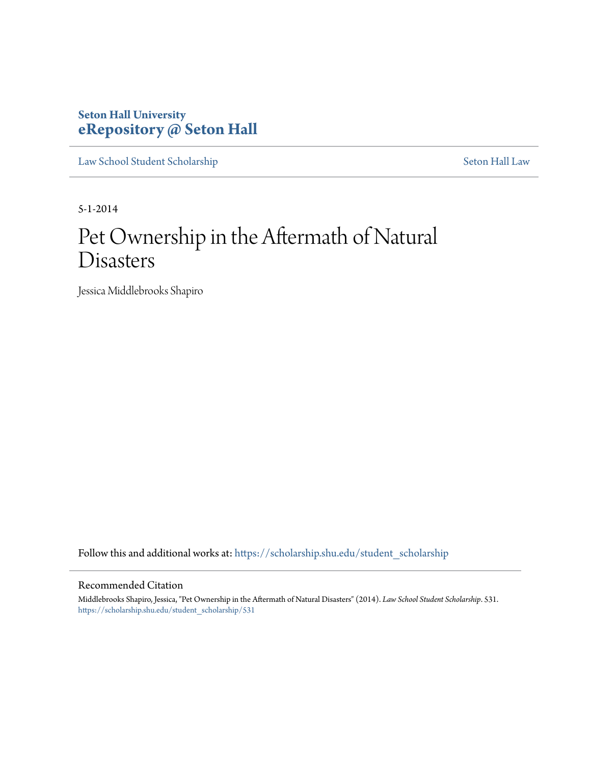# **Seton Hall University [eRepository @ Seton Hall](https://scholarship.shu.edu?utm_source=scholarship.shu.edu%2Fstudent_scholarship%2F531&utm_medium=PDF&utm_campaign=PDFCoverPages)**

[Law School Student Scholarship](https://scholarship.shu.edu/student_scholarship?utm_source=scholarship.shu.edu%2Fstudent_scholarship%2F531&utm_medium=PDF&utm_campaign=PDFCoverPages) [Seton Hall Law](https://scholarship.shu.edu/law?utm_source=scholarship.shu.edu%2Fstudent_scholarship%2F531&utm_medium=PDF&utm_campaign=PDFCoverPages)

5-1-2014

# Pet Ownership in the Aftermath of Natural Disasters

Jessica Middlebrooks Shapiro

Follow this and additional works at: [https://scholarship.shu.edu/student\\_scholarship](https://scholarship.shu.edu/student_scholarship?utm_source=scholarship.shu.edu%2Fstudent_scholarship%2F531&utm_medium=PDF&utm_campaign=PDFCoverPages)

### Recommended Citation

Middlebrooks Shapiro, Jessica, "Pet Ownership in the Aftermath of Natural Disasters" (2014). *Law School Student Scholarship*. 531. [https://scholarship.shu.edu/student\\_scholarship/531](https://scholarship.shu.edu/student_scholarship/531?utm_source=scholarship.shu.edu%2Fstudent_scholarship%2F531&utm_medium=PDF&utm_campaign=PDFCoverPages)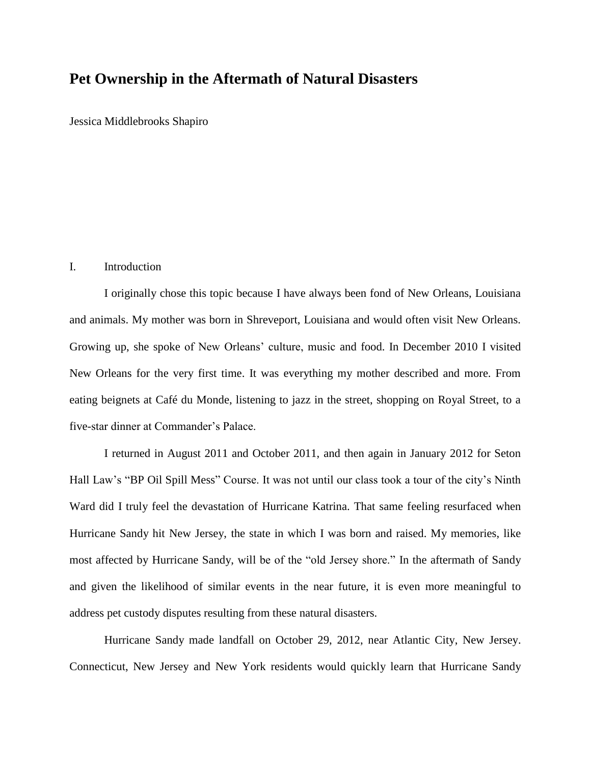# **Pet Ownership in the Aftermath of Natural Disasters**

Jessica Middlebrooks Shapiro

#### I. Introduction

I originally chose this topic because I have always been fond of New Orleans, Louisiana and animals. My mother was born in Shreveport, Louisiana and would often visit New Orleans. Growing up, she spoke of New Orleans' culture, music and food. In December 2010 I visited New Orleans for the very first time. It was everything my mother described and more. From eating beignets at Café du Monde, listening to jazz in the street, shopping on Royal Street, to a five-star dinner at Commander's Palace.

I returned in August 2011 and October 2011, and then again in January 2012 for Seton Hall Law's "BP Oil Spill Mess" Course. It was not until our class took a tour of the city's Ninth Ward did I truly feel the devastation of Hurricane Katrina. That same feeling resurfaced when Hurricane Sandy hit New Jersey, the state in which I was born and raised. My memories, like most affected by Hurricane Sandy, will be of the "old Jersey shore." In the aftermath of Sandy and given the likelihood of similar events in the near future, it is even more meaningful to address pet custody disputes resulting from these natural disasters.

Hurricane Sandy made landfall on October 29, 2012, near Atlantic City, New Jersey. Connecticut, New Jersey and New York residents would quickly learn that Hurricane Sandy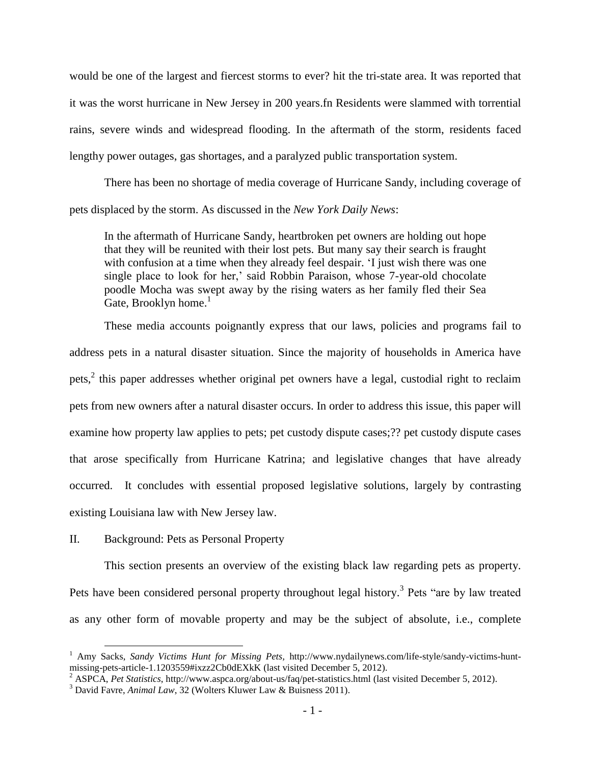would be one of the largest and fiercest storms to ever? hit the tri-state area. It was reported that it was the worst hurricane in New Jersey in 200 years.fn Residents were slammed with torrential rains, severe winds and widespread flooding. In the aftermath of the storm, residents faced lengthy power outages, gas shortages, and a paralyzed public transportation system.

There has been no shortage of media coverage of Hurricane Sandy, including coverage of pets displaced by the storm. As discussed in the *New York Daily News*:

In the aftermath of Hurricane Sandy, heartbroken pet owners are holding out hope that they will be reunited with their lost pets. But many say their search is fraught with confusion at a time when they already feel despair. 'I just wish there was one single place to look for her,' said Robbin Paraison, whose 7-year-old chocolate poodle Mocha was swept away by the rising waters as her family fled their Sea Gate, Brooklyn home.<sup>1</sup>

These media accounts poignantly express that our laws, policies and programs fail to address pets in a natural disaster situation. Since the majority of households in America have pets,<sup>2</sup> this paper addresses whether original pet owners have a legal, custodial right to reclaim pets from new owners after a natural disaster occurs. In order to address this issue, this paper will examine how property law applies to pets; pet custody dispute cases;?? pet custody dispute cases that arose specifically from Hurricane Katrina; and legislative changes that have already occurred. It concludes with essential proposed legislative solutions, largely by contrasting existing Louisiana law with New Jersey law.

# II. Background: Pets as Personal Property

 $\overline{\phantom{a}}$ 

This section presents an overview of the existing black law regarding pets as property. Pets have been considered personal property throughout legal history.<sup>3</sup> Pets "are by law treated as any other form of movable property and may be the subject of absolute, i.e., complete

<sup>1</sup> Amy Sacks, *Sandy Victims Hunt for Missing Pets,* http://www.nydailynews.com/life-style/sandy-victims-huntmissing-pets-article-1.1203559#ixzz2Cb0dEXkK (last visited December 5, 2012).

<sup>2</sup> ASPCA, *Pet Statistics*, http://www.aspca.org/about-us/faq/pet-statistics.html (last visited December 5, 2012).

<sup>3</sup> David Favre, *Animal Law*, 32 (Wolters Kluwer Law & Buisness 2011).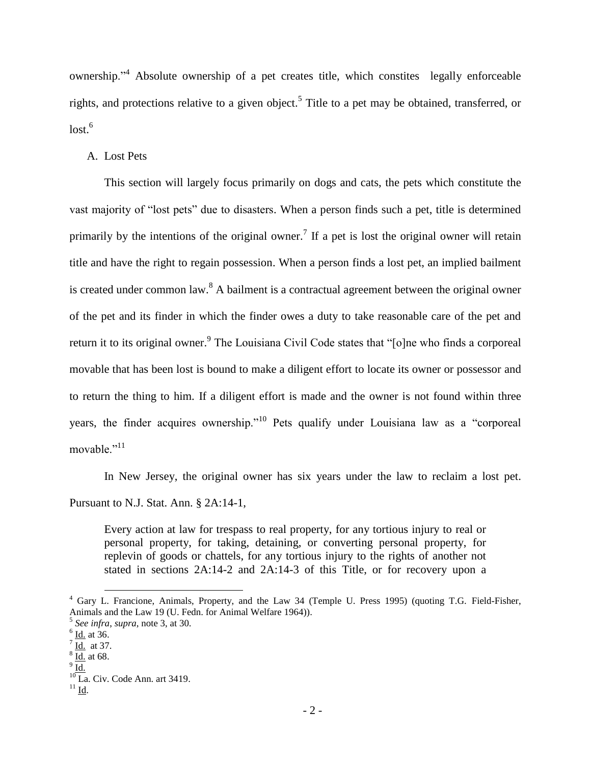ownership."<sup>4</sup> Absolute ownership of a pet creates title, which constites legally enforceable rights, and protections relative to a given object.<sup>5</sup> Title to a pet may be obtained, transferred, or lost. 6

# A. Lost Pets

This section will largely focus primarily on dogs and cats, the pets which constitute the vast majority of "lost pets" due to disasters. When a person finds such a pet, title is determined primarily by the intentions of the original owner.<sup>7</sup> If a pet is lost the original owner will retain title and have the right to regain possession. When a person finds a lost pet, an implied bailment is created under common law.  $8$  A bailment is a contractual agreement between the original owner of the pet and its finder in which the finder owes a duty to take reasonable care of the pet and return it to its original owner.<sup>9</sup> The Louisiana Civil Code states that "[o]ne who finds a corporeal movable that has been lost is bound to make a diligent effort to locate its owner or possessor and to return the thing to him. If a diligent effort is made and the owner is not found within three years, the finder acquires ownership."<sup>10</sup> Pets qualify under Louisiana law as a "corporeal movable."<sup>11</sup>

In New Jersey, the original owner has six years under the law to reclaim a lost pet. Pursuant to N.J. Stat. Ann. § 2A:14-1,

Every action at law for trespass to real property, for any tortious injury to real or personal property, for taking, detaining, or converting personal property, for replevin of goods or chattels, for any tortious injury to the rights of another not stated in sections 2A:14-2 and 2A:14-3 of this Title, or for recovery upon a

<sup>&</sup>lt;sup>4</sup> Gary L. Francione, Animals, Property, and the Law 34 (Temple U. Press 1995) (quoting T.G. Field-Fisher, Animals and the Law 19 (U. Fedn. for Animal Welfare 1964)).

<sup>5</sup> *See infra*, *supra*, note 3, at 30.

 $6$   $\underline{\text{Id.}}$  at 36.

 $\sqrt{7}$  Id. at 37.

 $\frac{8}{10}$  at 68. 9 Id.

 $10$  La. Civ. Code Ann. art 3419.

 $^{11}$  Id.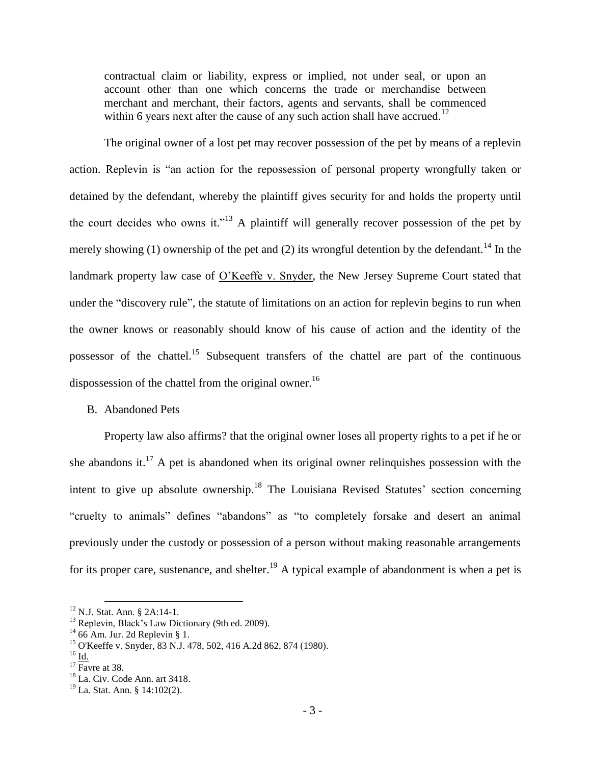contractual claim or liability, express or implied, not under seal, or upon an account other than one which concerns the trade or merchandise between merchant and merchant, their factors, agents and servants, shall be commenced within 6 years next after the cause of any such action shall have accrued.<sup>12</sup>

The original owner of a lost pet may recover possession of the pet by means of a replevin action. Replevin is "an action for the repossession of personal property wrongfully taken or detained by the defendant, whereby the plaintiff gives security for and holds the property until the court decides who owns it."<sup>13</sup> A plaintiff will generally recover possession of the pet by merely showing (1) ownership of the pet and (2) its wrongful detention by the defendant.<sup>14</sup> In the landmark property law case of O'Keeffe v. Snyder, the New Jersey Supreme Court stated that under the "discovery rule", the statute of limitations on an action for replevin begins to run when the owner knows or reasonably should know of his cause of action and the identity of the possessor of the chattel.<sup>15</sup> Subsequent transfers of the chattel are part of the continuous dispossession of the chattel from the original owner.<sup>16</sup>

# B. Abandoned Pets

Property law also affirms? that the original owner loses all property rights to a pet if he or she abandons it.<sup>17</sup> A pet is abandoned when its original owner relinquishes possession with the intent to give up absolute ownership.<sup>18</sup> The Louisiana Revised Statutes' section concerning "cruelty to animals" defines "abandons" as "to completely forsake and desert an animal previously under the custody or possession of a person without making reasonable arrangements for its proper care, sustenance, and shelter.<sup>19</sup> A typical example of abandonment is when a pet is

<sup>&</sup>lt;sup>12</sup> N.J. Stat. Ann. § 2A:14-1.

<sup>&</sup>lt;sup>13</sup> Replevin, Black's Law Dictionary (9th ed. 2009).

 $14$  66 Am. Jur. 2d Replevin § 1.

<sup>15</sup> O'Keeffe v. Snyder, 83 N.J. 478, 502, 416 A.2d 862, 874 (1980).

 $^{16}$  Id.

 $17$  Favre at 38.

<sup>18</sup> La. Civ. Code Ann. art 3418.

 $19$  La. Stat. Ann. § 14:102(2).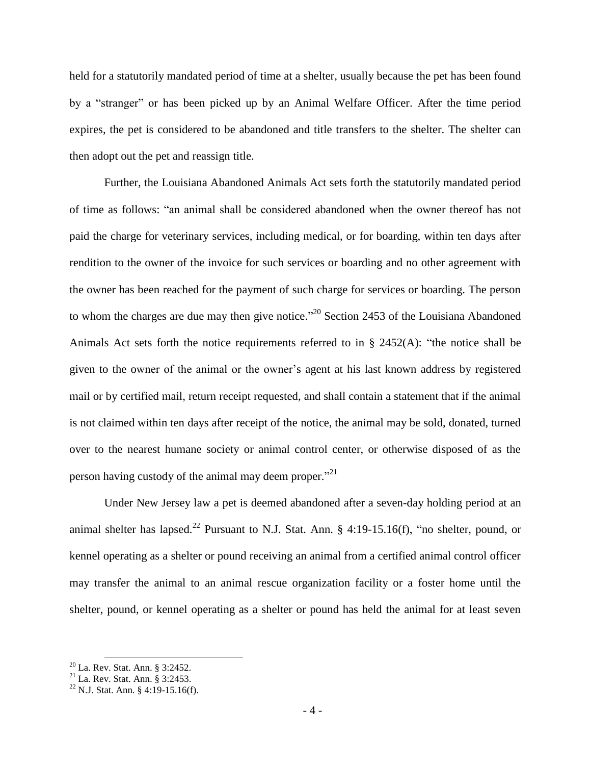held for a statutorily mandated period of time at a shelter, usually because the pet has been found by a "stranger" or has been picked up by an Animal Welfare Officer. After the time period expires, the pet is considered to be abandoned and title transfers to the shelter. The shelter can then adopt out the pet and reassign title.

Further, the Louisiana Abandoned Animals Act sets forth the statutorily mandated period of time as follows: "an animal shall be considered abandoned when the owner thereof has not paid the charge for veterinary services, including medical, or for boarding, within ten days after rendition to the owner of the invoice for such services or boarding and no other agreement with the owner has been reached for the payment of such charge for services or boarding. The person to whom the charges are due may then give notice.<sup>"20</sup> Section 2453 of the Louisiana Abandoned Animals Act sets forth the notice requirements referred to in § 2452(A): "the notice shall be given to the owner of the animal or the owner's agent at his last known address by registered mail or by certified mail, return receipt requested, and shall contain a statement that if the animal is not claimed within ten days after receipt of the notice, the animal may be sold, donated, turned over to the nearest humane society or animal control center, or otherwise disposed of as the person having custody of the animal may deem proper."<sup>21</sup>

Under New Jersey law a pet is deemed abandoned after a seven-day holding period at an animal shelter has lapsed.<sup>22</sup> Pursuant to N.J. Stat. Ann. § 4:19-15.16(f), "no shelter, pound, or kennel operating as a shelter or pound receiving an animal from a certified animal control officer may transfer the animal to an animal rescue organization facility or a foster home until the shelter, pound, or kennel operating as a shelter or pound has held the animal for at least seven

 $20$  La. Rev. Stat. Ann. § 3:2452.

 $21$  La. Rev. Stat. Ann. § 3:2453.

<sup>22</sup> N.J. Stat. Ann. § 4:19-15.16(f).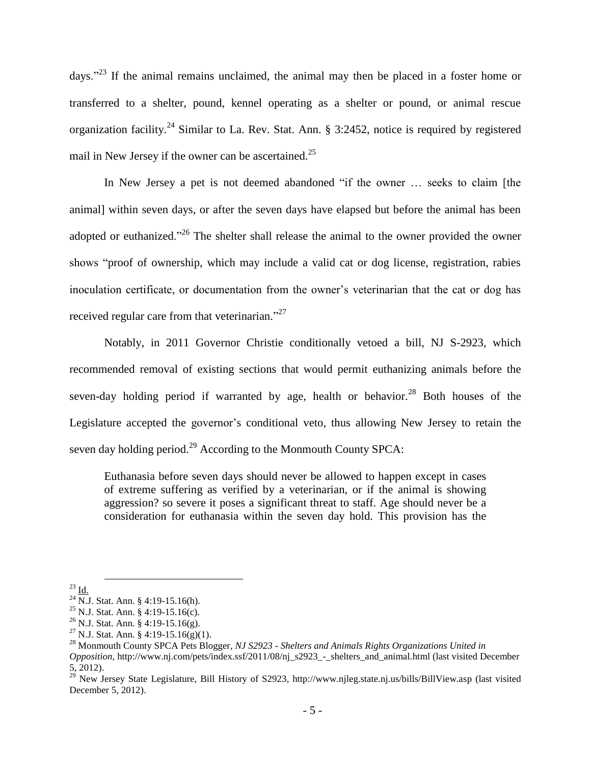days."<sup>23</sup> If the animal remains unclaimed, the animal may then be placed in a foster home or transferred to a shelter, pound, kennel operating as a shelter or pound, or animal rescue organization facility.<sup>24</sup> Similar to La. Rev. Stat. Ann. § 3:2452, notice is required by registered mail in New Jersey if the owner can be ascertained.<sup>25</sup>

In New Jersey a pet is not deemed abandoned "if the owner … seeks to claim [the animal] within seven days, or after the seven days have elapsed but before the animal has been adopted or euthanized."<sup>26</sup> The shelter shall release the animal to the owner provided the owner shows "proof of ownership, which may include a valid cat or dog license, registration, rabies inoculation certificate, or documentation from the owner's veterinarian that the cat or dog has received regular care from that veterinarian."<sup>27</sup>

Notably, in 2011 Governor Christie conditionally vetoed a bill, NJ S-2923, which recommended removal of existing sections that would permit euthanizing animals before the seven-day holding period if warranted by age, health or behavior.<sup>28</sup> Both houses of the Legislature accepted the governor's conditional veto, thus allowing New Jersey to retain the seven day holding period.<sup>29</sup> According to the Monmouth County SPCA:

Euthanasia before seven days should never be allowed to happen except in cases of extreme suffering as verified by a veterinarian, or if the animal is showing aggression? so severe it poses a significant threat to staff. Age should never be a consideration for euthanasia within the seven day hold. This provision has the

 $^{23}$  Id.

 $^{24}$  N.J. Stat. Ann. § 4:19-15.16(h).

<sup>25</sup> N.J. Stat. Ann. § 4:19-15.16(c).

 $^{26}$  N.J. Stat. Ann. § 4:19-15.16(g).

<sup>&</sup>lt;sup>27</sup> N.J. Stat. Ann. § 4:19-15.16(g)(1).

<sup>28</sup> Monmouth County SPCA Pets Blogger, *NJ S2923 - Shelters and Animals Rights Organizations United in* 

*Opposition*, http://www.nj.com/pets/index.ssf/2011/08/nj\_s2923\_-\_shelters\_and\_animal.html (last visited December 5, 2012).

<sup>&</sup>lt;sup>29</sup> New Jersey State Legislature, Bill History of S2923, http://www.njleg.state.nj.us/bills/BillView.asp (last visited December 5, 2012).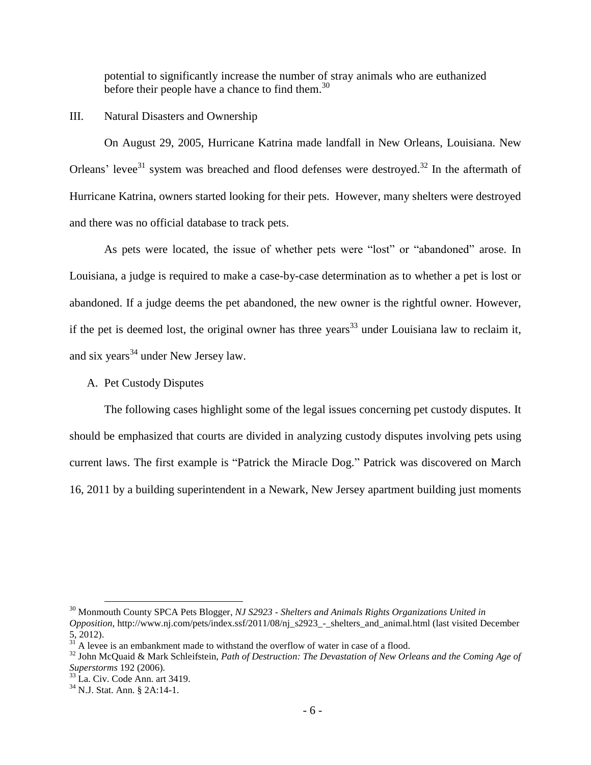potential to significantly increase the number of stray animals who are euthanized before their people have a chance to find them.<sup>30</sup>

III. Natural Disasters and Ownership

On August 29, 2005, Hurricane Katrina made landfall in New Orleans, Louisiana. New Orleans' levee<sup>31</sup> system was breached and flood defenses were destroyed.<sup>32</sup> In the aftermath of Hurricane Katrina, owners started looking for their pets. However, many shelters were destroyed and there was no official database to track pets.

As pets were located, the issue of whether pets were "lost" or "abandoned" arose. In Louisiana, a judge is required to make a case-by-case determination as to whether a pet is lost or abandoned. If a judge deems the pet abandoned, the new owner is the rightful owner. However, if the pet is deemed lost, the original owner has three years<sup>33</sup> under Louisiana law to reclaim it, and six years<sup>34</sup> under New Jersey law.

A. Pet Custody Disputes

The following cases highlight some of the legal issues concerning pet custody disputes. It should be emphasized that courts are divided in analyzing custody disputes involving pets using current laws. The first example is "Patrick the Miracle Dog." Patrick was discovered on March 16, 2011 by a building superintendent in a Newark, New Jersey apartment building just moments

<sup>30</sup> Monmouth County SPCA Pets Blogger, *NJ S2923 - Shelters and Animals Rights Organizations United in* 

*Opposition*, http://www.nj.com/pets/index.ssf/2011/08/nj\_s2923\_-\_shelters\_and\_animal.html (last visited December 5, 2012).

 $31$  A levee is an embankment made to withstand the overflow of water in case of a flood.

<sup>32</sup> John McQuaid & Mark Schleifstein, *Path of Destruction: The Devastation of New Orleans and the Coming Age of Superstorms* 192 (2006).

 $33$  La. Civ. Code Ann. art 3419.

 $34$  N.J. Stat. Ann. § 2A:14-1.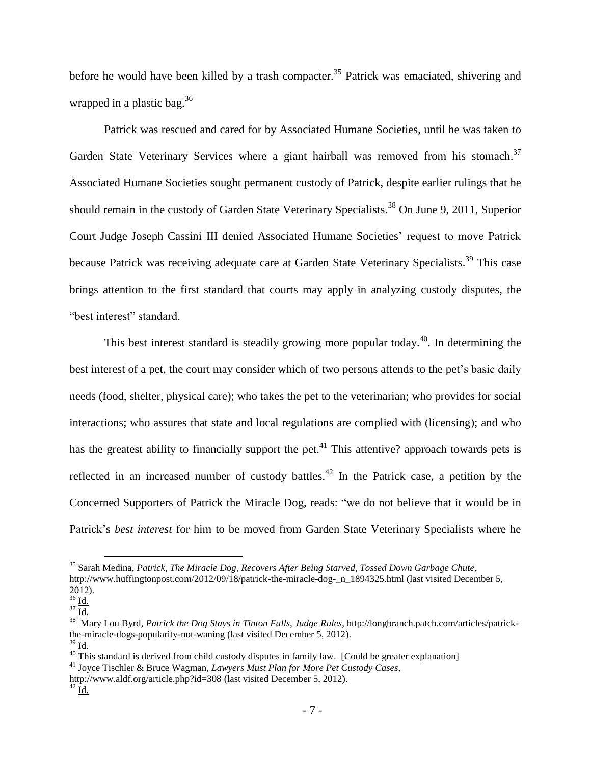before he would have been killed by a trash compacter.<sup>35</sup> Patrick was emaciated, shivering and wrapped in a plastic bag.<sup>36</sup>

Patrick was rescued and cared for by Associated Humane Societies, until he was taken to Garden State Veterinary Services where a giant hairball was removed from his stomach.<sup>37</sup> Associated Humane Societies sought permanent custody of Patrick, despite earlier rulings that he should remain in the custody of Garden State Veterinary Specialists.<sup>38</sup> On June 9, 2011, Superior Court Judge Joseph Cassini III denied Associated Humane Societies' request to move Patrick because Patrick was receiving adequate care at Garden State Veterinary Specialists.<sup>39</sup> This case brings attention to the first standard that courts may apply in analyzing custody disputes, the "best interest" standard.

This best interest standard is steadily growing more popular today.<sup>40</sup>. In determining the best interest of a pet, the court may consider which of two persons attends to the pet's basic daily needs (food, shelter, physical care); who takes the pet to the veterinarian; who provides for social interactions; who assures that state and local regulations are complied with (licensing); and who has the greatest ability to financially support the pet.<sup>41</sup> This attentive? approach towards pets is reflected in an increased number of custody battles.<sup>42</sup> In the Patrick case, a petition by the Concerned Supporters of Patrick the Miracle Dog, reads: "we do not believe that it would be in Patrick's *best interest* for him to be moved from Garden State Veterinary Specialists where he

l

<sup>35</sup> Sarah Medina, *Patrick, The Miracle Dog, Recovers After Being Starved, Tossed Down Garbage Chute*,

http://www.huffingtonpost.com/2012/09/18/patrick-the-miracle-dog- n\_1894325.html (last visited December 5, 2012).

 $rac{26}{36}$  <u>Id.</u>

 $^{37}$   $\overline{\underline{\mathrm{Id.}}}$ 

<sup>38</sup> Mary Lou Byrd, *Patrick the Dog Stays in Tinton Falls, Judge Rules*, http://longbranch.patch.com/articles/patrickthe-miracle-dogs-popularity-not-waning (last visited December 5, 2012).

 $39$  Id.

 $^{40}$  This standard is derived from child custody disputes in family law. [Could be greater explanation]

<sup>41</sup> Joyce Tischler & Bruce Wagman, *Lawyers Must Plan for More Pet Custody Cases*,

http://www.aldf.org/article.php?id=308 (last visited December 5, 2012).

 $^{42}$  Id.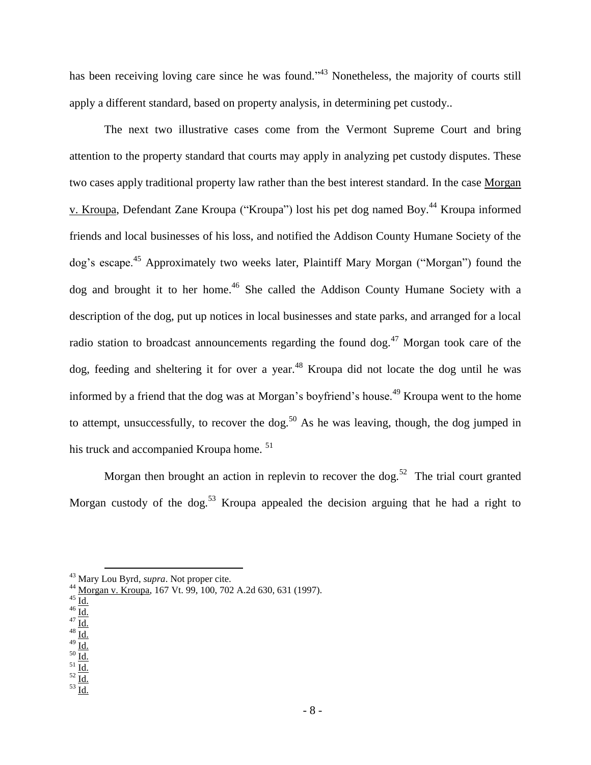has been receiving loving care since he was found.<sup>343</sup> Nonetheless, the majority of courts still apply a different standard, based on property analysis, in determining pet custody..

The next two illustrative cases come from the Vermont Supreme Court and bring attention to the property standard that courts may apply in analyzing pet custody disputes. These two cases apply traditional property law rather than the best interest standard. In the case Morgan v. Kroupa, Defendant Zane Kroupa ("Kroupa") lost his pet dog named Boy.<sup>44</sup> Kroupa informed friends and local businesses of his loss, and notified the Addison County Humane Society of the dog's escape.<sup>45</sup> Approximately two weeks later, Plaintiff Mary Morgan ("Morgan") found the dog and brought it to her home.<sup>46</sup> She called the Addison County Humane Society with a description of the dog, put up notices in local businesses and state parks, and arranged for a local radio station to broadcast announcements regarding the found dog.<sup>47</sup> Morgan took care of the dog, feeding and sheltering it for over a year.<sup>48</sup> Kroupa did not locate the dog until he was informed by a friend that the dog was at Morgan's boyfriend's house.<sup>49</sup> Kroupa went to the home to attempt, unsuccessfully, to recover the dog.<sup>50</sup> As he was leaving, though, the dog jumped in his truck and accompanied Kroupa home.<sup>51</sup>

Morgan then brought an action in replevin to recover the dog.<sup>52</sup> The trial court granted Morgan custody of the dog.<sup>53</sup> Kroupa appealed the decision arguing that he had a right to

- $^{47}$  Id.  $^{48}$  Id.
- $^{49}$  Id.
- $^{50}$  Id.
- $^{51}$  Id.
- $^{52}$   $\overline{\mathrm{Id}}$ .
- $^{53}$  Id.

<sup>43</sup> Mary Lou Byrd, *supra*. Not proper cite.

<sup>44</sup> Morgan v. Kroupa, 167 Vt. 99, 100, 702 A.2d 630, 631 (1997).

 $^{45}$  Id.

 $46 \overline{\mathrm{Id}}$ .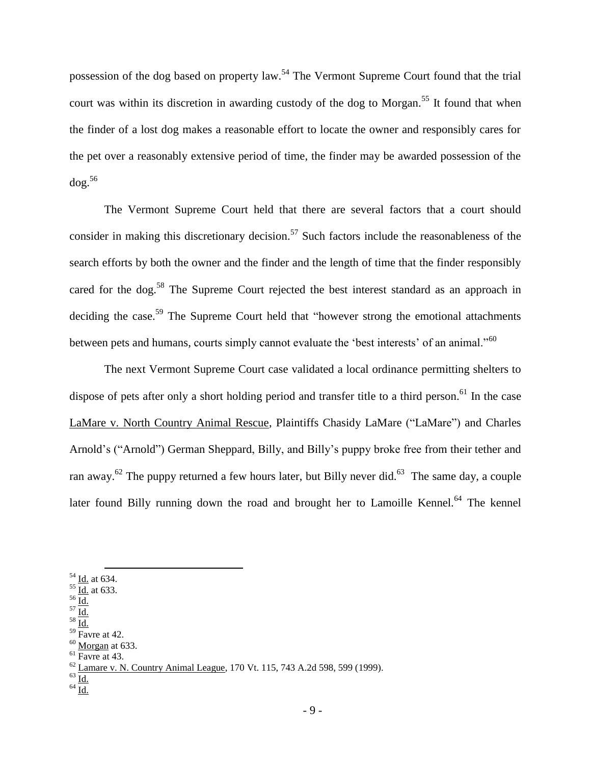possession of the dog based on property law.<sup>54</sup> The Vermont Supreme Court found that the trial court was within its discretion in awarding custody of the dog to Morgan.<sup>55</sup> It found that when the finder of a lost dog makes a reasonable effort to locate the owner and responsibly cares for the pet over a reasonably extensive period of time, the finder may be awarded possession of the dog.<sup>56</sup>

The Vermont Supreme Court held that there are several factors that a court should consider in making this discretionary decision.<sup>57</sup> Such factors include the reasonableness of the search efforts by both the owner and the finder and the length of time that the finder responsibly cared for the dog.<sup>58</sup> The Supreme Court rejected the best interest standard as an approach in deciding the case.<sup>59</sup> The Supreme Court held that "however strong the emotional attachments" between pets and humans, courts simply cannot evaluate the 'best interests' of an animal."<sup>60</sup>

The next Vermont Supreme Court case validated a local ordinance permitting shelters to dispose of pets after only a short holding period and transfer title to a third person.<sup>61</sup> In the case LaMare v. North Country Animal Rescue, Plaintiffs Chasidy LaMare ("LaMare") and Charles Arnold's ("Arnold") German Sheppard, Billy, and Billy's puppy broke free from their tether and ran away.<sup>62</sup> The puppy returned a few hours later, but Billy never did.<sup>63</sup> The same day, a couple later found Billy running down the road and brought her to Lamoille Kennel.<sup>64</sup> The kennel

 $\overline{a}$ 

- $^{56}$  Id.  $^{57}$   $\overline{\underline{\mbox{Id.}}}$
- $^{58}$  Id.
- $59$  Favre at 42.
- $60$  Morgan at 633.
- $<sup>61</sup>$  Favre at 43.</sup>

63  $\frac{1}{\underline{\mathbf{Id}}.}$  $^{64}$   $\overline{\underline{\mbox{Id.}}}$ 

 $^{54}$  <u>Id.</u> at 634.

 $\frac{55}{10}$  at 633.

 $^{62}$  Lamare v. N. Country Animal League, 170 Vt. 115, 743 A.2d 598, 599 (1999).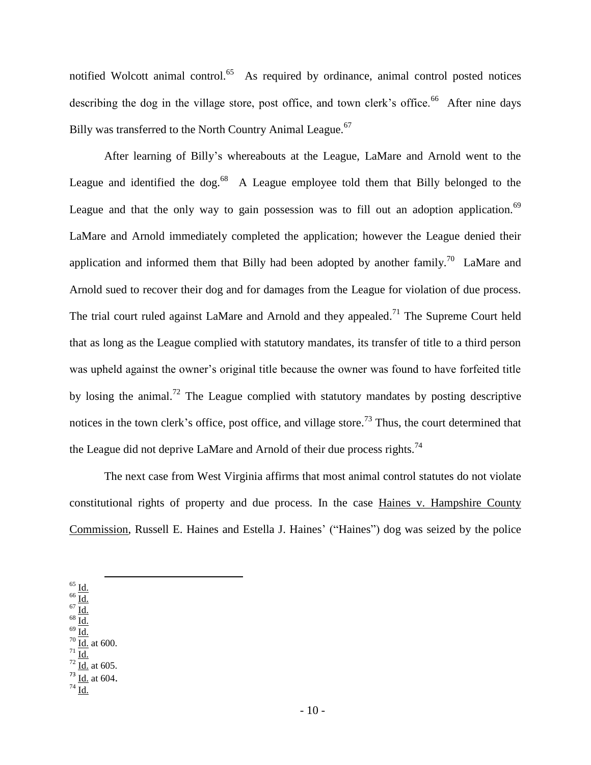notified Wolcott animal control.<sup>65</sup> As required by ordinance, animal control posted notices describing the dog in the village store, post office, and town clerk's office.<sup>66</sup> After nine days Billy was transferred to the North Country Animal League.<sup>67</sup>

After learning of Billy's whereabouts at the League, LaMare and Arnold went to the League and identified the dog.<sup>68</sup> A League employee told them that Billy belonged to the League and that the only way to gain possession was to fill out an adoption application.<sup>69</sup> LaMare and Arnold immediately completed the application; however the League denied their application and informed them that Billy had been adopted by another family.<sup>70</sup> LaMare and Arnold sued to recover their dog and for damages from the League for violation of due process. The trial court ruled against LaMare and Arnold and they appealed.<sup>71</sup> The Supreme Court held that as long as the League complied with statutory mandates, its transfer of title to a third person was upheld against the owner's original title because the owner was found to have forfeited title by losing the animal.<sup>72</sup> The League complied with statutory mandates by posting descriptive notices in the town clerk's office, post office, and village store.<sup>73</sup> Thus, the court determined that the League did not deprive LaMare and Arnold of their due process rights.<sup>74</sup>

The next case from West Virginia affirms that most animal control statutes do not violate constitutional rights of property and due process. In the case Haines v. Hampshire County Commission, Russell E. Haines and Estella J. Haines' ("Haines") dog was seized by the police

 $^{65}$  Id.

l

- $66 \overline{\mathrm{Id}}$ .  $67 \overline{\mathrm{Id}}$ .
- $^{68}$  Id.
- $69 \overline{\mathrm{Id}}$ .
- $70 \underline{\mathsf{Id}}$ . at 600.  $171$  Id.
- $\frac{72}{\text{Id.}}$  at 605.
- $\overline{^{73}$  Id. at 604.
- $^{74}$  Id.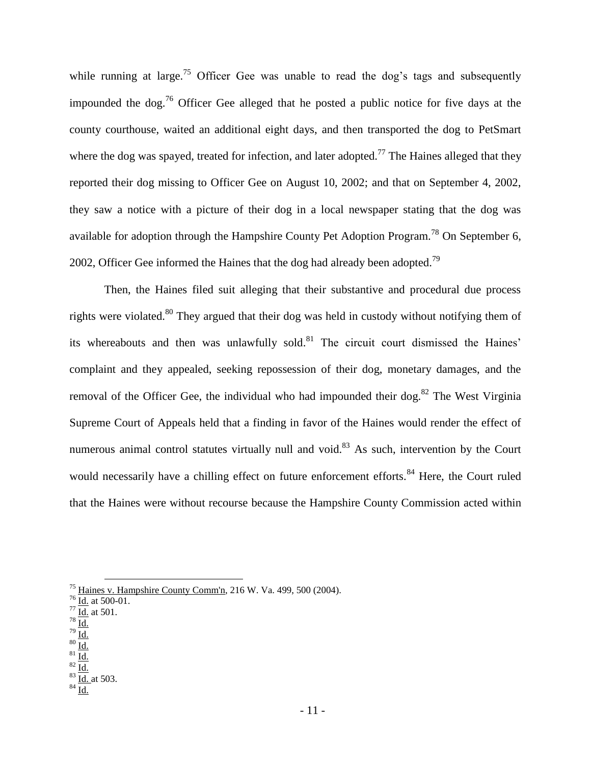while running at large.<sup>75</sup> Officer Gee was unable to read the dog's tags and subsequently impounded the dog.<sup>76</sup> Officer Gee alleged that he posted a public notice for five days at the county courthouse, waited an additional eight days, and then transported the dog to PetSmart where the dog was spayed, treated for infection, and later adopted.<sup>77</sup> The Haines alleged that they reported their dog missing to Officer Gee on August 10, 2002; and that on September 4, 2002, they saw a notice with a picture of their dog in a local newspaper stating that the dog was available for adoption through the Hampshire County Pet Adoption Program.<sup>78</sup> On September 6, 2002, Officer Gee informed the Haines that the dog had already been adopted.<sup>79</sup>

Then, the Haines filed suit alleging that their substantive and procedural due process rights were violated.<sup>80</sup> They argued that their dog was held in custody without notifying them of its whereabouts and then was unlawfully sold.<sup>81</sup> The circuit court dismissed the Haines' complaint and they appealed, seeking repossession of their dog, monetary damages, and the removal of the Officer Gee, the individual who had impounded their dog.<sup>82</sup> The West Virginia Supreme Court of Appeals held that a finding in favor of the Haines would render the effect of numerous animal control statutes virtually null and void.<sup>83</sup> As such, intervention by the Court would necessarily have a chilling effect on future enforcement efforts.<sup>84</sup> Here, the Court ruled that the Haines were without recourse because the Hampshire County Commission acted within

- $^{79}$  Id.
- $80 \overline{\mathrm{Id}}$ .  $81 \overline{\mathrm{Id}}$ .
- $82$  Id.

<sup>&</sup>lt;sup>75</sup> Haines v. Hampshire County Comm'n, 216 W. Va. 499, 500 (2004).

 $76 \overline{\mathrm{Id.}}$  at 500-01.

 $\frac{77}{10}$  at 501.

 $^{78}$  Id.

 $\frac{83}{1}$   $\overline{\text{Id.}}$  at 503.

 $84$  Id.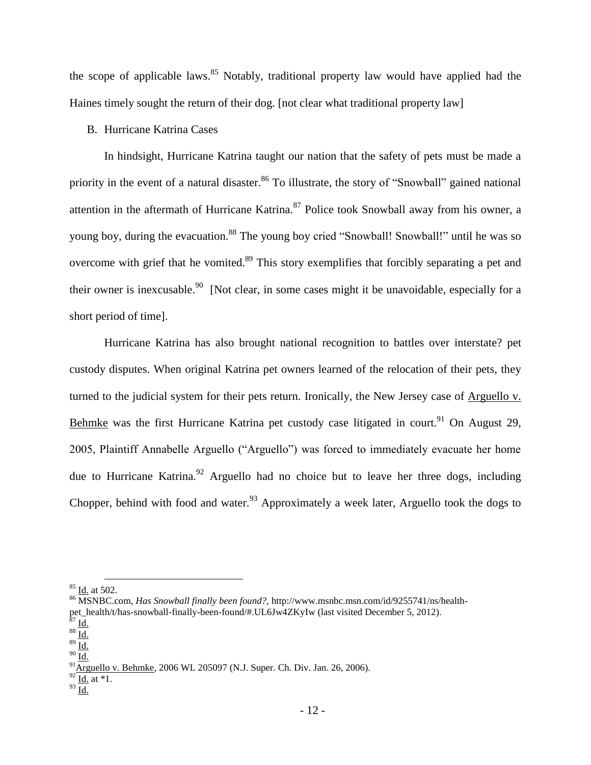the scope of applicable laws.<sup>85</sup> Notably, traditional property law would have applied had the Haines timely sought the return of their dog. [not clear what traditional property law]

# B. Hurricane Katrina Cases

In hindsight, Hurricane Katrina taught our nation that the safety of pets must be made a priority in the event of a natural disaster.<sup>86</sup> To illustrate, the story of "Snowball" gained national attention in the aftermath of Hurricane Katrina.<sup>87</sup> Police took Snowball away from his owner, a young boy, during the evacuation.<sup>88</sup> The young boy cried "Snowball! Snowball!" until he was so overcome with grief that he vomited.<sup>89</sup> This story exemplifies that forcibly separating a pet and their owner is inexcusable.<sup>90</sup> [Not clear, in some cases might it be unavoidable, especially for a short period of time].

Hurricane Katrina has also brought national recognition to battles over interstate? pet custody disputes. When original Katrina pet owners learned of the relocation of their pets, they turned to the judicial system for their pets return. Ironically, the New Jersey case of Arguello v. Behmke was the first Hurricane Katrina pet custody case litigated in court.<sup>91</sup> On August 29, 2005, Plaintiff Annabelle Arguello ("Arguello") was forced to immediately evacuate her home due to Hurricane Katrina.<sup>92</sup> Arguello had no choice but to leave her three dogs, including Chopper, behind with food and water.<sup>93</sup> Approximately a week later, Arguello took the dogs to

 $\frac{85}{100}$  Id. at 502.<br><sup>86</sup> MSNBC.com, *Has Snowball finally been found?*, http://www.msnbc.msn.com/id/9255741/ns/health-<sup>86</sup> MSNBC.com, *Has Snowball finally been found?,* http://www.msnbc.msn.com/id/9255741/ns/healthpet\_health/t/has-snowball-finally-been-found/#.UL6Jw4ZKyIw (last visited December 5, 2012).

 $^{87}$  Id.

 $^{88}$  Id.  $89 \overline{\mathrm{Id}}$ .

 $90 \overline{\mathrm{Id}}$ .

 $^{91}$ Arguello v. Behmke, 2006 WL 205097 (N.J. Super. Ch. Div. Jan. 26, 2006).

 $92\frac{14.54}{\underline{Id}$ . at \*1.

<sup>93</sup>  $\overline{\underline{\text{Id}}.}$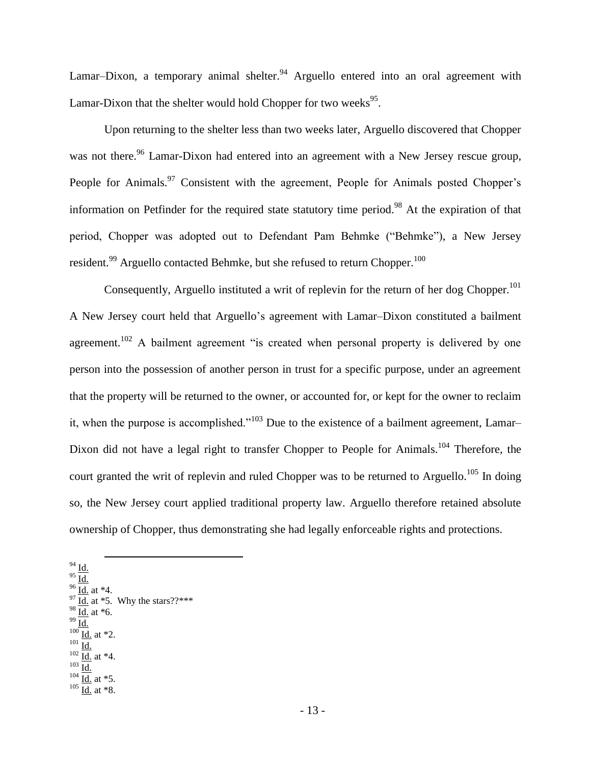Lamar–Dixon, a temporary animal shelter.<sup>94</sup> Arguello entered into an oral agreement with Lamar-Dixon that the shelter would hold Chopper for two weeks<sup>95</sup>.

Upon returning to the shelter less than two weeks later, Arguello discovered that Chopper was not there.<sup>96</sup> Lamar-Dixon had entered into an agreement with a New Jersey rescue group, People for Animals.<sup>97</sup> Consistent with the agreement, People for Animals posted Chopper's information on Petfinder for the required state statutory time period.<sup>98</sup> At the expiration of that period, Chopper was adopted out to Defendant Pam Behmke ("Behmke"), a New Jersey resident. $^{99}$  Arguello contacted Behmke, but she refused to return Chopper. $^{100}$ 

Consequently, Arguello instituted a writ of replevin for the return of her dog Chopper.<sup>101</sup> A New Jersey court held that Arguello's agreement with Lamar–Dixon constituted a bailment agreement.<sup>102</sup> A bailment agreement "is created when personal property is delivered by one person into the possession of another person in trust for a specific purpose, under an agreement that the property will be returned to the owner, or accounted for, or kept for the owner to reclaim it, when the purpose is accomplished."<sup>103</sup> Due to the existence of a bailment agreement, Lamar– Dixon did not have a legal right to transfer Chopper to People for Animals.<sup>104</sup> Therefore, the court granted the writ of replevin and ruled Chopper was to be returned to Arguello.<sup>105</sup> In doing so, the New Jersey court applied traditional property law. Arguello therefore retained absolute ownership of Chopper, thus demonstrating she had legally enforceable rights and protections.

- $94$  Id.
- $^{95}$   $\overline{\underline{\mathrm{Id.}}}$
- $\frac{96}{\underline{\text{Id.}}}$  at \*4.
- $97$  Id. at \*5. Why the stars??\*\*\*  $98 \overline{Id}$ . at \*6.

l

- $^{99}$  Id.
- $100 \underline{\text{Id.}}$  at \*2.
- $^{101}$   $\overline{\mathrm{Id}}$ .
- $102 \frac{10}{10}$  at \*4.  $\frac{1}{103}$
- $104 \frac{104}{10}$  at \*5.

 $105 \frac{\text{km}}{\text{Id.}}$  at \*8.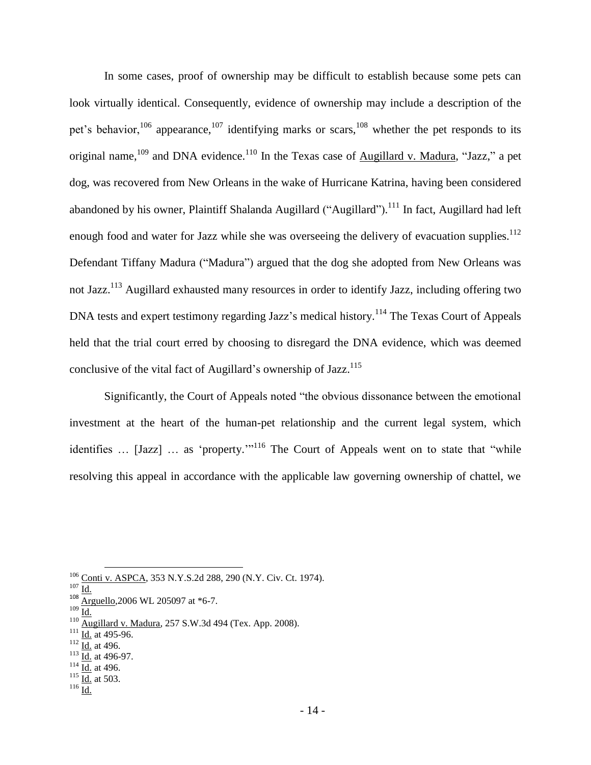In some cases, proof of ownership may be difficult to establish because some pets can look virtually identical. Consequently, evidence of ownership may include a description of the pet's behavior,<sup>106</sup> appearance,<sup>107</sup> identifying marks or scars,<sup>108</sup> whether the pet responds to its original name,  $109$  and DNA evidence.<sup>110</sup> In the Texas case of Augillard v. Madura, "Jazz," a pet dog, was recovered from New Orleans in the wake of Hurricane Katrina, having been considered abandoned by his owner, Plaintiff Shalanda Augillard ("Augillard").<sup>111</sup> In fact, Augillard had left enough food and water for Jazz while she was overseeing the delivery of evacuation supplies.<sup>112</sup> Defendant Tiffany Madura ("Madura") argued that the dog she adopted from New Orleans was not Jazz.<sup>113</sup> Augillard exhausted many resources in order to identify Jazz, including offering two DNA tests and expert testimony regarding Jazz's medical history.<sup>114</sup> The Texas Court of Appeals held that the trial court erred by choosing to disregard the DNA evidence, which was deemed conclusive of the vital fact of Augillard's ownership of Jazz.<sup>115</sup>

Significantly, the Court of Appeals noted "the obvious dissonance between the emotional investment at the heart of the human-pet relationship and the current legal system, which identifies ... [Jazz] ... as 'property.'"<sup>116</sup> The Court of Appeals went on to state that "while resolving this appeal in accordance with the applicable law governing ownership of chattel, we

 $\frac{107}{108}$  Id.

 $\frac{109}{\underline{\text{Id.}}}$ 

- $\frac{111}{10}$  **Id.** at 495-96.
- $112 \overline{Id}$ . at 496.
- $\frac{113}{10}$  at 496-97.

- $114 \overline{Id.}$  at 496.
- $115 \overline{Id.}$  at 503.

 $\frac{106}{107}$  Conti v. ASPCA, 353 N.Y.S.2d 288, 290 (N.Y. Civ. Ct. 1974).

Arguello, 2006 WL 205097 at \*6-7.

 $^{110}$  Augillard v. Madura, 257 S.W.3d 494 (Tex. App. 2008).

 $^{116}$  Id.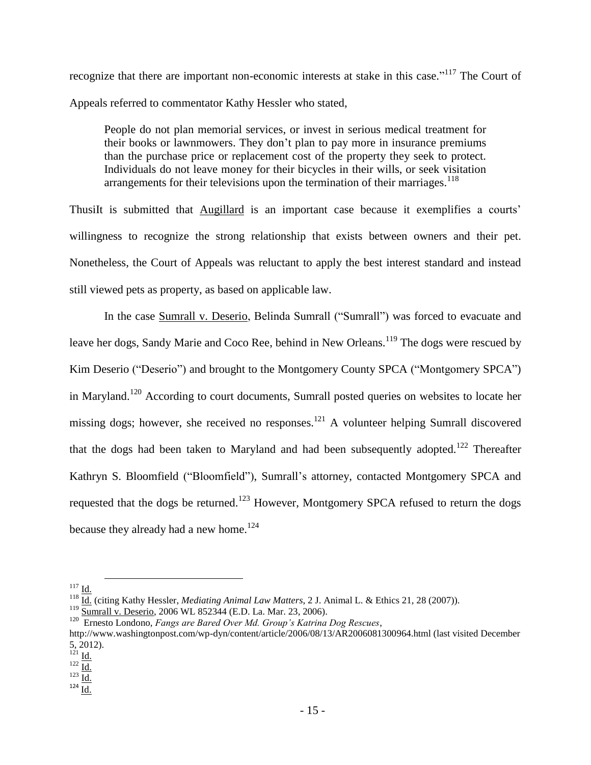recognize that there are important non-economic interests at stake in this case."<sup>117</sup> The Court of Appeals referred to commentator Kathy Hessler who stated,

People do not plan memorial services, or invest in serious medical treatment for their books or lawnmowers. They don't plan to pay more in insurance premiums than the purchase price or replacement cost of the property they seek to protect. Individuals do not leave money for their bicycles in their wills, or seek visitation arrangements for their televisions upon the termination of their marriages.<sup>118</sup>

ThusiIt is submitted that Augillard is an important case because it exemplifies a courts' willingness to recognize the strong relationship that exists between owners and their pet. Nonetheless, the Court of Appeals was reluctant to apply the best interest standard and instead still viewed pets as property, as based on applicable law.

In the case Sumrall v. Deserio, Belinda Sumrall ("Sumrall") was forced to evacuate and leave her dogs, Sandy Marie and Coco Ree, behind in New Orleans.<sup>119</sup> The dogs were rescued by Kim Deserio ("Deserio") and brought to the Montgomery County SPCA ("Montgomery SPCA") in Maryland.<sup>120</sup> According to court documents, Sumrall posted queries on websites to locate her missing dogs; however, she received no responses.<sup>121</sup> A volunteer helping Sumrall discovered that the dogs had been taken to Maryland and had been subsequently adopted.<sup>122</sup> Thereafter Kathryn S. Bloomfield ("Bloomfield"), Sumrall's attorney, contacted Montgomery SPCA and requested that the dogs be returned.<sup>123</sup> However, Montgomery SPCA refused to return the dogs because they already had a new home.<sup>124</sup>

 $\overline{\phantom{a}}$ 

120 Ernesto Londono, *Fangs are Bared Over Md. Group's Katrina Dog Rescues*,

 $117$  Id.

<sup>11. (</sup>citing Kathy Hessler, *Mediating Animal Law Matters*, 2 J. Animal L. & Ethics 21, 28 (2007)).

<sup>&</sup>lt;sup>119</sup> Sumrall v. Deserio, 2006 WL 852344 (E.D. La. Mar. 23, 2006).

http://www.washingtonpost.com/wp-dyn/content/article/2006/08/13/AR2006081300964.html (last visited December 5, 2012).

 $^{121}$  Id.

 $\frac{122}{10}$ 

 $123 \frac{1}{\underline{Id.}}$  $^{124}$   $\underline{\mathrm{Id}}$ .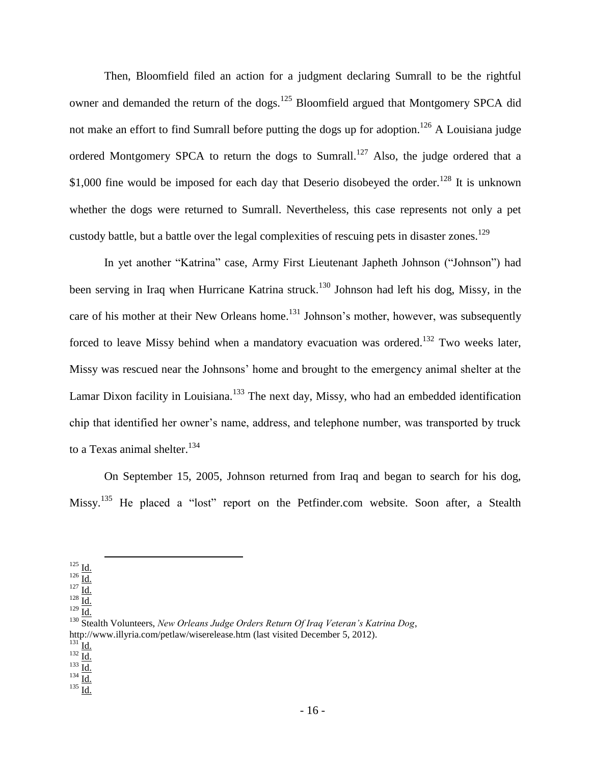Then, Bloomfield filed an action for a judgment declaring Sumrall to be the rightful owner and demanded the return of the dogs.<sup>125</sup> Bloomfield argued that Montgomery SPCA did not make an effort to find Sumrall before putting the dogs up for adoption.<sup>126</sup> A Louisiana judge ordered Montgomery SPCA to return the dogs to Sumrall.<sup>127</sup> Also, the judge ordered that a \$1,000 fine would be imposed for each day that Deserio disobeyed the order.<sup>128</sup> It is unknown whether the dogs were returned to Sumrall. Nevertheless, this case represents not only a pet custody battle, but a battle over the legal complexities of rescuing pets in disaster zones.<sup>129</sup>

In yet another "Katrina" case, Army First Lieutenant Japheth Johnson ("Johnson") had been serving in Iraq when Hurricane Katrina struck.<sup>130</sup> Johnson had left his dog, Missy, in the care of his mother at their New Orleans home.<sup>131</sup> Johnson's mother, however, was subsequently forced to leave Missy behind when a mandatory evacuation was ordered.<sup>132</sup> Two weeks later, Missy was rescued near the Johnsons' home and brought to the emergency animal shelter at the Lamar Dixon facility in Louisiana.<sup>133</sup> The next day, Missy, who had an embedded identification chip that identified her owner's name, address, and telephone number, was transported by truck to a Texas animal shelter.<sup>134</sup>

On September 15, 2005, Johnson returned from Iraq and began to search for his dog, Missy.<sup>135</sup> He placed a "lost" report on the Petfinder.com website. Soon after, a Stealth

l

 $^{131}$  Id.

 $^{135}$   $\underline{Id.}$ 

 $^{125}$  <u>Id.</u>

 $\frac{126}{127} \frac{1}{\text{Id}}$ .

 $^{127}$   $\overline{\mathrm{Id}}$ .

 $128$   $\underline{\text{Id}}$ .  $129 \overline{Id.}$ 

<sup>130</sup> Stealth Volunteers, *New Orleans Judge Orders Return Of Iraq Veteran's Katrina Dog*, http://www.illyria.com/petlaw/wiserelease.htm (last visited December 5, 2012).

 $^{132}$   $\overline{\mathrm{Id}}$ .

 $133 \frac{12}{\underline{Id}}$ .

 $\frac{134}{\underline{\text{Id.}}}$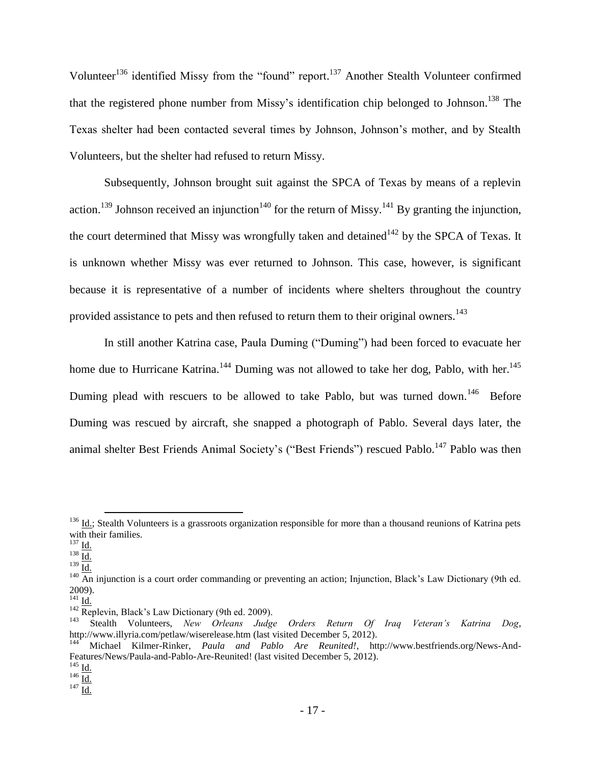Volunteer<sup>136</sup> identified Missy from the "found" report.<sup>137</sup> Another Stealth Volunteer confirmed that the registered phone number from Missy's identification chip belonged to Johnson. <sup>138</sup> The Texas shelter had been contacted several times by Johnson, Johnson's mother, and by Stealth Volunteers, but the shelter had refused to return Missy.

Subsequently, Johnson brought suit against the SPCA of Texas by means of a replevin action.<sup>139</sup> Johnson received an injunction<sup>140</sup> for the return of Missy.<sup>141</sup> By granting the injunction, the court determined that Missy was wrongfully taken and detained<sup>142</sup> by the SPCA of Texas. It is unknown whether Missy was ever returned to Johnson. This case, however, is significant because it is representative of a number of incidents where shelters throughout the country provided assistance to pets and then refused to return them to their original owners.<sup>143</sup>

In still another Katrina case, Paula Duming ("Duming") had been forced to evacuate her home due to Hurricane Katrina.<sup>144</sup> Duming was not allowed to take her dog, Pablo, with her.<sup>145</sup> Duming plead with rescuers to be allowed to take Pablo, but was turned down.<sup>146</sup> Before Duming was rescued by aircraft, she snapped a photograph of Pablo. Several days later, the animal shelter Best Friends Animal Society's ("Best Friends") rescued Pablo.<sup>147</sup> Pablo was then

 $\overline{\phantom{a}}$ 

 $138 \overline{Id.}$ 

 $\frac{136}{10}$  Id.; Stealth Volunteers is a grassroots organization responsible for more than a thousand reunions of Katrina pets with their families.

 $^{137}$  Id.

 $139 \underline{\underline{Id}}$ .

 $\frac{140}{\text{An}}$  injunction is a court order commanding or preventing an action; Injunction, Black's Law Dictionary (9th ed. 2009).

 $^{141}$  Id.

 $142$  Replevin, Black's Law Dictionary (9th ed. 2009).

<sup>143</sup> Stealth Volunteers, *New Orleans Judge Orders Return Of Iraq Veteran's Katrina Dog*, http://www.illyria.com/petlaw/wiserelease.htm (last visited December 5, 2012).

<sup>144</sup> Michael Kilmer-Rinker, *Paula and Pablo Are Reunited!*, http://www.bestfriends.org/News-And-Features/News/Paula-and-Pablo-Are-Reunited! (last visited December 5, 2012).

 $^{145}$  Id.

 $\frac{146}{10}$ 

 $147 \underline{\overline{Id.}}$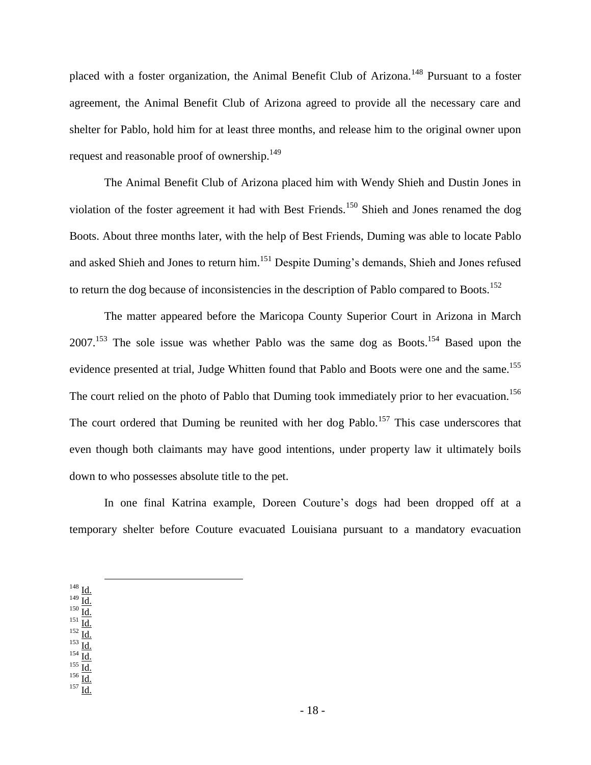placed with a foster organization, the Animal Benefit Club of Arizona.<sup>148</sup> Pursuant to a foster agreement, the Animal Benefit Club of Arizona agreed to provide all the necessary care and shelter for Pablo, hold him for at least three months, and release him to the original owner upon request and reasonable proof of ownership.<sup>149</sup>

The Animal Benefit Club of Arizona placed him with Wendy Shieh and Dustin Jones in violation of the foster agreement it had with Best Friends.<sup>150</sup> Shieh and Jones renamed the dog Boots. About three months later, with the help of Best Friends, Duming was able to locate Pablo and asked Shieh and Jones to return him.<sup>151</sup> Despite Duming's demands, Shieh and Jones refused to return the dog because of inconsistencies in the description of Pablo compared to Boots.<sup>152</sup>

The matter appeared before the Maricopa County Superior Court in Arizona in March  $2007$ <sup>153</sup>. The sole issue was whether Pablo was the same dog as Boots.<sup>154</sup> Based upon the evidence presented at trial, Judge Whitten found that Pablo and Boots were one and the same.<sup>155</sup> The court relied on the photo of Pablo that Duming took immediately prior to her evacuation.<sup>156</sup> The court ordered that Duming be reunited with her dog Pablo.<sup>157</sup> This case underscores that even though both claimants may have good intentions, under property law it ultimately boils down to who possesses absolute title to the pet.

In one final Katrina example, Doreen Couture's dogs had been dropped off at a temporary shelter before Couture evacuated Louisiana pursuant to a mandatory evacuation

 $148$   $\underline{Id}$ .  $149$   $\underline{\text{Id}}$ .  $^{150}$   $\underline{\mathrm{Id}}$ .  $^{151}$  Id.  $^{152}$   $\underline{\mathrm{Id}}$ .  $^{153}$   $\underline{\mathrm{Id}}$ .  $^{154}$   $\overline{\mathrm{Id}}$ .  $^{155}$   $\underline{\text{Id}}$ .  $^{156}$   $\overline{\underline{\text{Id}}.}$  $157 \underline{\overline{Id}}$ .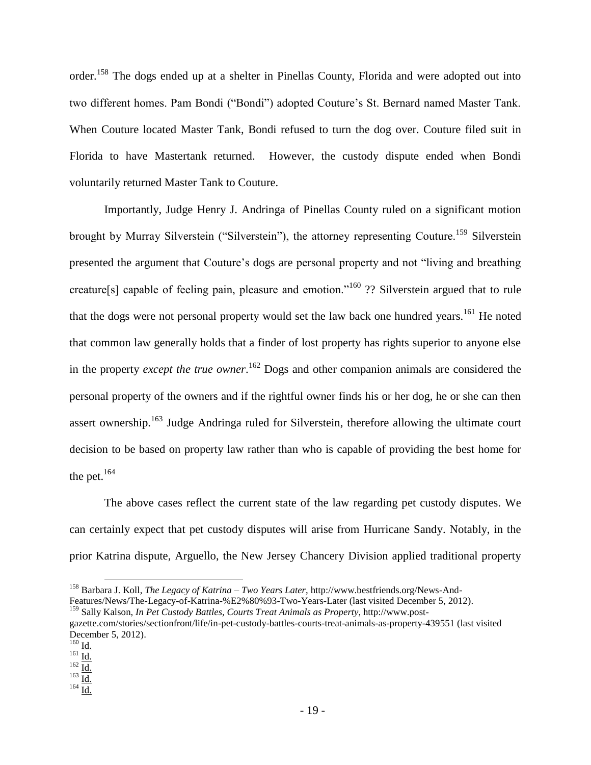order.<sup>158</sup> The dogs ended up at a shelter in Pinellas County, Florida and were adopted out into two different homes. Pam Bondi ("Bondi") adopted Couture's St. Bernard named Master Tank. When Couture located Master Tank, Bondi refused to turn the dog over. Couture filed suit in Florida to have Mastertank returned. However, the custody dispute ended when Bondi voluntarily returned Master Tank to Couture.

Importantly, Judge Henry J. Andringa of Pinellas County ruled on a significant motion brought by Murray Silverstein ("Silverstein"), the attorney representing Couture.<sup>159</sup> Silverstein presented the argument that Couture's dogs are personal property and not "living and breathing creature[s] capable of feeling pain, pleasure and emotion."<sup>160</sup> ?? Silverstein argued that to rule that the dogs were not personal property would set the law back one hundred years.<sup>161</sup> He noted that common law generally holds that a finder of lost property has rights superior to anyone else in the property *except the true owner*. <sup>162</sup> Dogs and other companion animals are considered the personal property of the owners and if the rightful owner finds his or her dog, he or she can then assert ownership.<sup>163</sup> Judge Andringa ruled for Silverstein, therefore allowing the ultimate court decision to be based on property law rather than who is capable of providing the best home for the pet. $164$ 

The above cases reflect the current state of the law regarding pet custody disputes. We can certainly expect that pet custody disputes will arise from Hurricane Sandy. Notably, in the prior Katrina dispute, Arguello, the New Jersey Chancery Division applied traditional property

 $\overline{\phantom{a}}$ 

 $164 \overline{Id}$ .

<sup>158</sup> Barbara J. Koll, *The Legacy of Katrina – Two Years Later*, http://www.bestfriends.org/News-And-Features/News/The-Legacy-of-Katrina-%E2%80%93-Two-Years-Later (last visited December 5, 2012).

<sup>159</sup> Sally Kalson, *In Pet Custody Battles, Courts Treat Animals as Property*, http://www.post-

gazette.com/stories/sectionfront/life/in-pet-custody-battles-courts-treat-animals-as-property-439551 (last visited December 5, 2012).

 $160$  Id.

 $\frac{161}{10}$ 

 $162 \overline{Id.}$  $\frac{163}{10}$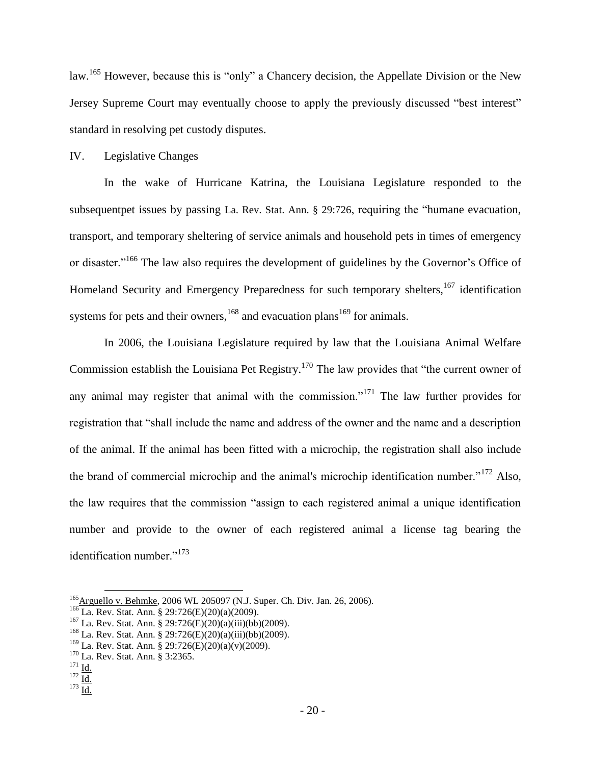law.<sup>165</sup> However, because this is "only" a Chancery decision, the Appellate Division or the New Jersey Supreme Court may eventually choose to apply the previously discussed "best interest" standard in resolving pet custody disputes.

## IV. Legislative Changes

In the wake of Hurricane Katrina, the Louisiana Legislature responded to the subsequentpet issues by passing La. Rev. Stat. Ann. § 29:726, requiring the "humane evacuation, transport, and temporary sheltering of service animals and household pets in times of emergency or disaster."<sup>166</sup> The law also requires the development of guidelines by the Governor's Office of Homeland Security and Emergency Preparedness for such temporary shelters, <sup>167</sup> identification systems for pets and their owners,  $168$  and evacuation plans<sup>169</sup> for animals.

In 2006, the Louisiana Legislature required by law that the Louisiana Animal Welfare Commission establish the Louisiana Pet Registry.<sup>170</sup> The law provides that "the current owner of any animal may register that animal with the commission."<sup>171</sup> The law further provides for registration that "shall include the name and address of the owner and the name and a description of the animal. If the animal has been fitted with a microchip, the registration shall also include the brand of commercial microchip and the animal's microchip identification number."<sup>172</sup> Also, the law requires that the commission "assign to each registered animal a unique identification number and provide to the owner of each registered animal a license tag bearing the identification number."<sup>173</sup>

<sup>&</sup>lt;sup>165</sup>Arguello v. Behmke, 2006 WL 205097 (N.J. Super. Ch. Div. Jan. 26, 2006).

<sup>166</sup> La. Rev. Stat. Ann. § 29:726(E)(20)(a)(2009).

 $167$  La. Rev. Stat. Ann. § 29:726(E)(20)(a)(iii)(bb)(2009).

<sup>168</sup> La. Rev. Stat. Ann. § 29:726(E)(20)(a)(iii)(bb)(2009).

 $169$  La. Rev. Stat. Ann. § 29:726(E)(20)(a)(v)(2009).

<sup>&</sup>lt;sup>170</sup> La. Rev. Stat. Ann. § 3:2365.

 $^{171}$  Id.

 $172 \overline{Id.}$ 

 $173 \underline{Id.}$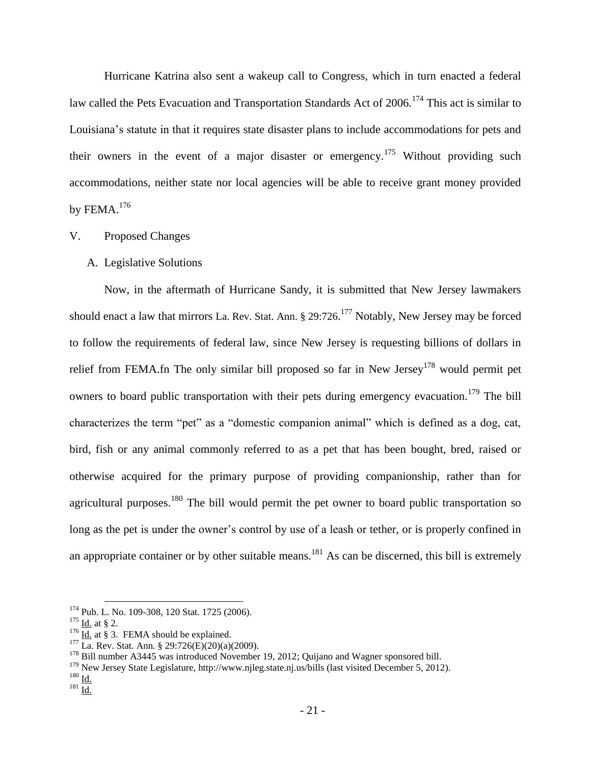Hurricane Katrina also sent a wakeup call to Congress, which in turn enacted a federal law called the Pets Evacuation and Transportation Standards Act of 2006.<sup>174</sup> This act is similar to Louisiana's statute in that it requires state disaster plans to include accommodations for pets and their owners in the event of a major disaster or emergency.<sup>175</sup> Without providing such accommodations, neither state nor local agencies will be able to receive grant money provided by FEMA. $176$ 

# V. Proposed Changes

### A. Legislative Solutions

Now, in the aftermath of Hurricane Sandy, it is submitted that New Jersey lawmakers should enact a law that mirrors La. Rev. Stat. Ann. § 29:726.<sup>177</sup> Notably, New Jersey may be forced to follow the requirements of federal law, since New Jersey is requesting billions of dollars in relief from FEMA.fn The only similar bill proposed so far in New Jersey<sup>178</sup> would permit pet owners to board public transportation with their pets during emergency evacuation.<sup>179</sup> The bill characterizes the term "pet" as a "domestic companion animal" which is defined as a dog, cat, bird, fish or any animal commonly referred to as a pet that has been bought, bred, raised or otherwise acquired for the primary purpose of providing companionship, rather than for agricultural purposes.<sup>180</sup> The bill would permit the pet owner to board public transportation so long as the pet is under the owner's control by use of a leash or tether, or is properly confined in an appropriate container or by other suitable means.<sup>181</sup> As can be discerned, this bill is extremely

<sup>&</sup>lt;sup>174</sup> Pub. L. No. 109-308, 120 Stat. 1725 (2006).

 $175$  <u>Id.</u> at § 2.

 $176$  Id. at § 3. FEMA should be explained.

 $177 \overline{\text{La. Rev. Stat. Ann. § } 29:726(\text{E})(20)(\text{a})(2009)}.$ 

<sup>&</sup>lt;sup>178</sup> Bill number A3445 was introduced November 19, 2012; Quijano and Wagner sponsored bill.

<sup>179</sup> New Jersey State Legislature, http://www.njleg.state.nj.us/bills (last visited December 5, 2012).

 $180 \underline{\mathsf{Id}}$ .

 $181 \overline{\underline{\underline{Id}}.}$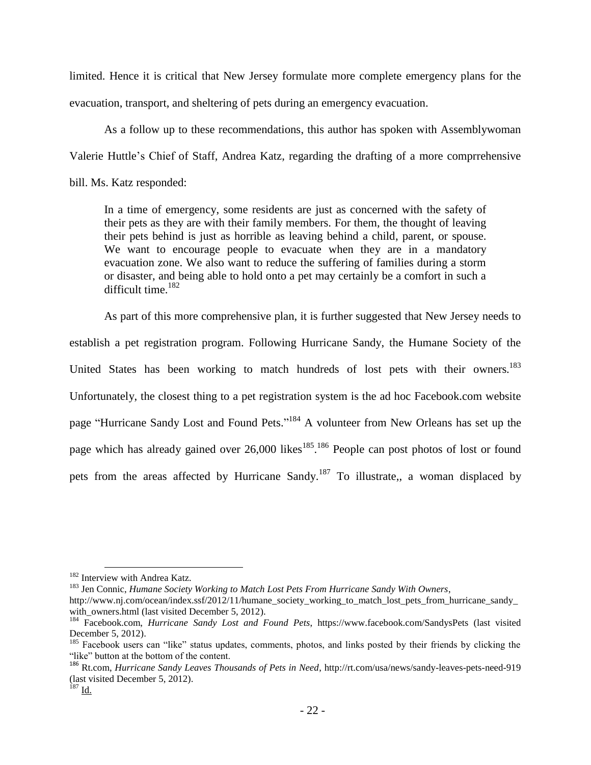limited. Hence it is critical that New Jersey formulate more complete emergency plans for the evacuation, transport, and sheltering of pets during an emergency evacuation.

As a follow up to these recommendations, this author has spoken with Assemblywoman Valerie Huttle's Chief of Staff, Andrea Katz, regarding the drafting of a more comprrehensive bill. Ms. Katz responded:

In a time of emergency, some residents are just as concerned with the safety of their pets as they are with their family members. For them, the thought of leaving their pets behind is just as horrible as leaving behind a child, parent, or spouse. We want to encourage people to evacuate when they are in a mandatory evacuation zone. We also want to reduce the suffering of families during a storm or disaster, and being able to hold onto a pet may certainly be a comfort in such a difficult time.<sup>182</sup>

As part of this more comprehensive plan, it is further suggested that New Jersey needs to establish a pet registration program. Following Hurricane Sandy, the Humane Society of the United States has been working to match hundreds of lost pets with their owners.<sup>183</sup> Unfortunately, the closest thing to a pet registration system is the ad hoc Facebook.com website page "Hurricane Sandy Lost and Found Pets."<sup>184</sup> A volunteer from New Orleans has set up the page which has already gained over 26,000 likes<sup>185</sup>.<sup>186</sup> People can post photos of lost or found pets from the areas affected by Hurricane Sandy.<sup>187</sup> To illustrate,, a woman displaced by

<sup>&</sup>lt;sup>182</sup> Interview with Andrea Katz.

<sup>183</sup> Jen Connic, *Humane Society Working to Match Lost Pets From Hurricane Sandy With Owners*,

http://www.nj.com/ocean/index.ssf/2012/11/humane\_society\_working\_to\_match\_lost\_pets\_from\_hurricane\_sandy\_ with\_owners.html (last visited December 5, 2012).

<sup>184</sup> Facebook.com, *Hurricane Sandy Lost and Found Pets*, https://www.facebook.com/SandysPets (last visited December 5, 2012).

<sup>&</sup>lt;sup>185</sup> Facebook users can "like" status updates, comments, photos, and links posted by their friends by clicking the "like" button at the bottom of the content.

<sup>186</sup> Rt.com, *Hurricane Sandy Leaves Thousands of Pets in Need*, http://rt.com/usa/news/sandy-leaves-pets-need-919 (last visited December 5, 2012).

 $^{187}$  Id.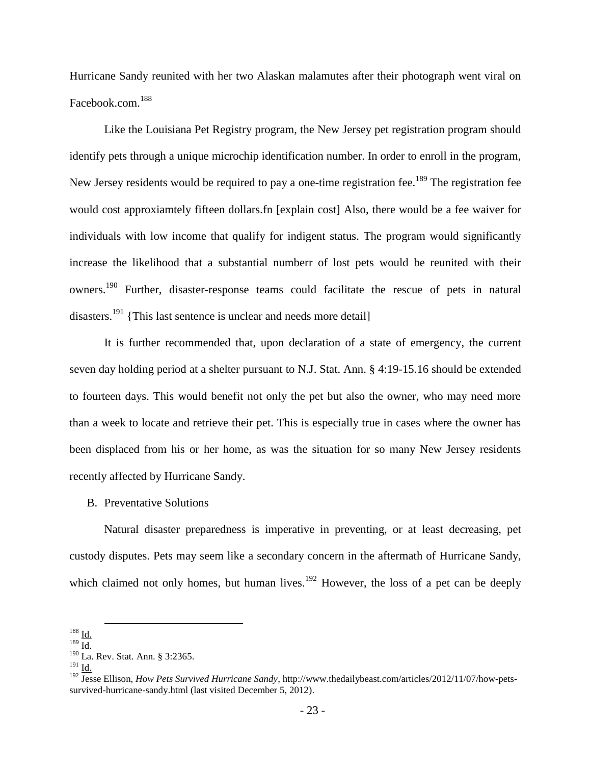Hurricane Sandy reunited with her two Alaskan malamutes after their photograph went viral on Facebook.com. 188

Like the Louisiana Pet Registry program, the New Jersey pet registration program should identify pets through a unique microchip identification number. In order to enroll in the program, New Jersey residents would be required to pay a one-time registration fee.<sup>189</sup> The registration fee would cost approxiamtely fifteen dollars.fn [explain cost] Also, there would be a fee waiver for individuals with low income that qualify for indigent status. The program would significantly increase the likelihood that a substantial numberr of lost pets would be reunited with their owners.<sup>190</sup> Further, disaster-response teams could facilitate the rescue of pets in natural disasters.<sup>191</sup> {This last sentence is unclear and needs more detail]

It is further recommended that, upon declaration of a state of emergency, the current seven day holding period at a shelter pursuant to N.J. Stat. Ann. § 4:19-15.16 should be extended to fourteen days. This would benefit not only the pet but also the owner, who may need more than a week to locate and retrieve their pet. This is especially true in cases where the owner has been displaced from his or her home, as was the situation for so many New Jersey residents recently affected by Hurricane Sandy.

B. Preventative Solutions

Natural disaster preparedness is imperative in preventing, or at least decreasing, pet custody disputes. Pets may seem like a secondary concern in the aftermath of Hurricane Sandy, which claimed not only homes, but human lives.<sup>192</sup> However, the loss of a pet can be deeply

l

 $188 \underline{\text{Id.}}$ 

 $\frac{189}{10}$ 

<sup>&</sup>lt;sup>190</sup> La. Rev. Stat. Ann. § 3:2365.

<sup>191</sup> Id.

<sup>192</sup> Jesse Ellison, *How Pets Survived Hurricane Sandy*, http://www.thedailybeast.com/articles/2012/11/07/how-petssurvived-hurricane-sandy.html (last visited December 5, 2012).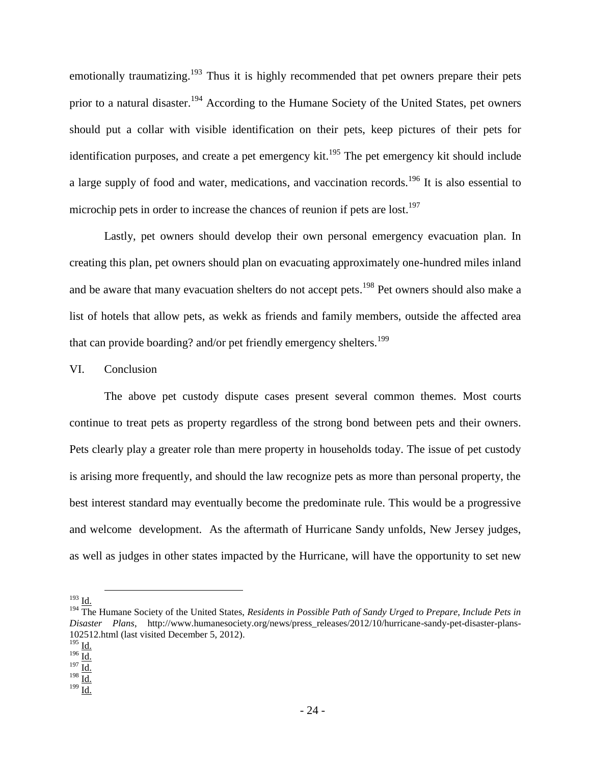emotionally traumatizing.<sup>193</sup> Thus it is highly recommended that pet owners prepare their pets prior to a natural disaster.<sup>194</sup> According to the Humane Society of the United States, pet owners should put a collar with visible identification on their pets, keep pictures of their pets for identification purposes, and create a pet emergency kit.<sup>195</sup> The pet emergency kit should include a large supply of food and water, medications, and vaccination records.<sup>196</sup> It is also essential to microchip pets in order to increase the chances of reunion if pets are lost.<sup>197</sup>

Lastly, pet owners should develop their own personal emergency evacuation plan. In creating this plan, pet owners should plan on evacuating approximately one-hundred miles inland and be aware that many evacuation shelters do not accept pets.<sup>198</sup> Pet owners should also make a list of hotels that allow pets, as wekk as friends and family members, outside the affected area that can provide boarding? and/or pet friendly emergency shelters.<sup>199</sup>

## VI. Conclusion

The above pet custody dispute cases present several common themes. Most courts continue to treat pets as property regardless of the strong bond between pets and their owners. Pets clearly play a greater role than mere property in households today. The issue of pet custody is arising more frequently, and should the law recognize pets as more than personal property, the best interest standard may eventually become the predominate rule. This would be a progressive and welcome development. As the aftermath of Hurricane Sandy unfolds, New Jersey judges, as well as judges in other states impacted by the Hurricane, will have the opportunity to set new

 $\overline{\phantom{a}}$ 

 $199$  Id.

 $^{193}$  Id.

<sup>&</sup>lt;sup>194</sup> The Humane Society of the United States, *Residents in Possible Path of Sandy Urged to Prepare, Include Pets in Disaster Plans*, http://www.humanesociety.org/news/press\_releases/2012/10/hurricane-sandy-pet-disaster-plans-102512.html (last visited December 5, 2012).

 $^{195}$  Id.

 $\frac{196}{\underline{\underline{\text{Id.}}}}$ 197 $\underline{\overline{\text{Id.}}}$ 

 $\frac{198}{10}$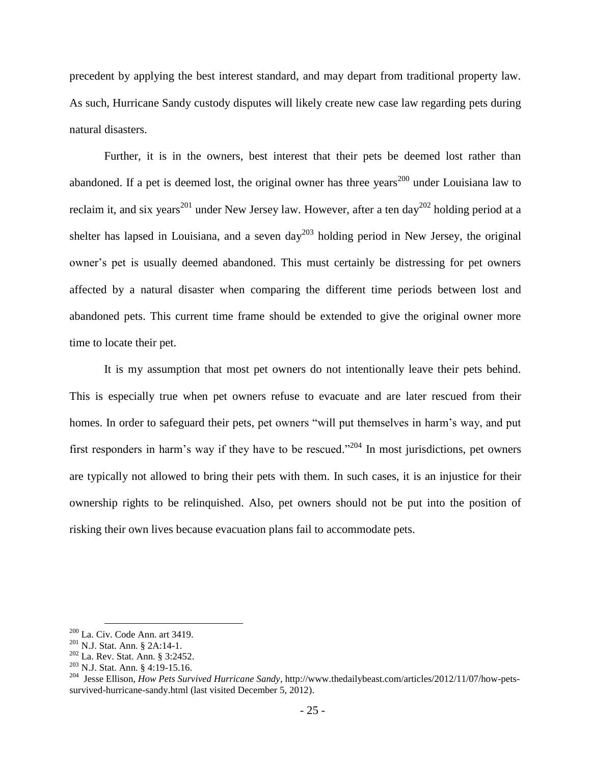precedent by applying the best interest standard, and may depart from traditional property law. As such, Hurricane Sandy custody disputes will likely create new case law regarding pets during natural disasters.

Further, it is in the owners, best interest that their pets be deemed lost rather than abandoned. If a pet is deemed lost, the original owner has three years<sup>200</sup> under Louisiana law to reclaim it, and six years<sup>201</sup> under New Jersey law. However, after a ten day<sup>202</sup> holding period at a shelter has lapsed in Louisiana, and a seven day<sup>203</sup> holding period in New Jersey, the original owner's pet is usually deemed abandoned. This must certainly be distressing for pet owners affected by a natural disaster when comparing the different time periods between lost and abandoned pets. This current time frame should be extended to give the original owner more time to locate their pet.

It is my assumption that most pet owners do not intentionally leave their pets behind. This is especially true when pet owners refuse to evacuate and are later rescued from their homes. In order to safeguard their pets, pet owners "will put themselves in harm's way, and put first responders in harm's way if they have to be rescued."<sup>204</sup> In most jurisdictions, pet owners are typically not allowed to bring their pets with them. In such cases, it is an injustice for their ownership rights to be relinquished. Also, pet owners should not be put into the position of risking their own lives because evacuation plans fail to accommodate pets.

l

 $200$  La. Civ. Code Ann. art 3419.

<sup>201</sup> N.J. Stat. Ann. § 2A:14-1.

<sup>202</sup> La. Rev. Stat. Ann. § 3:2452.

<sup>203</sup> N.J. Stat. Ann. § 4:19-15.16.

<sup>204</sup> Jesse Ellison, *How Pets Survived Hurricane Sandy*, http://www.thedailybeast.com/articles/2012/11/07/how-petssurvived-hurricane-sandy.html (last visited December 5, 2012).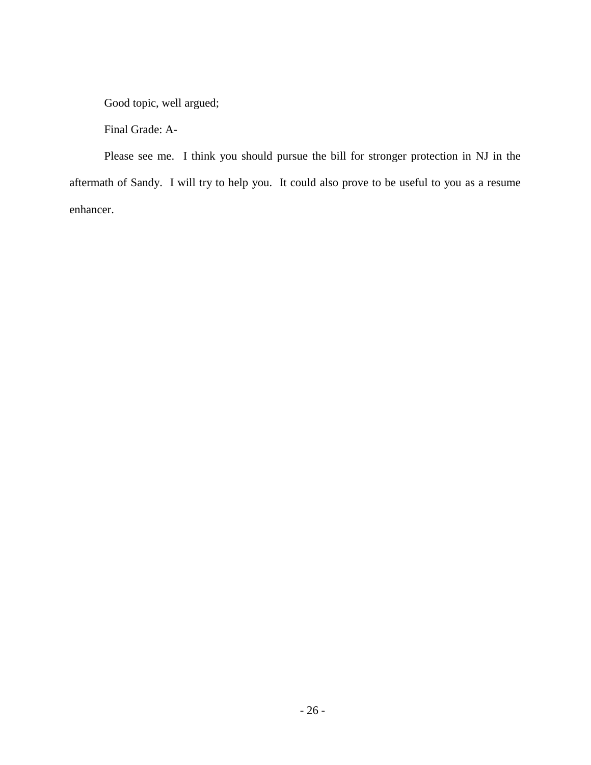Good topic, well argued;

Final Grade: A-

Please see me. I think you should pursue the bill for stronger protection in NJ in the aftermath of Sandy. I will try to help you. It could also prove to be useful to you as a resume enhancer.